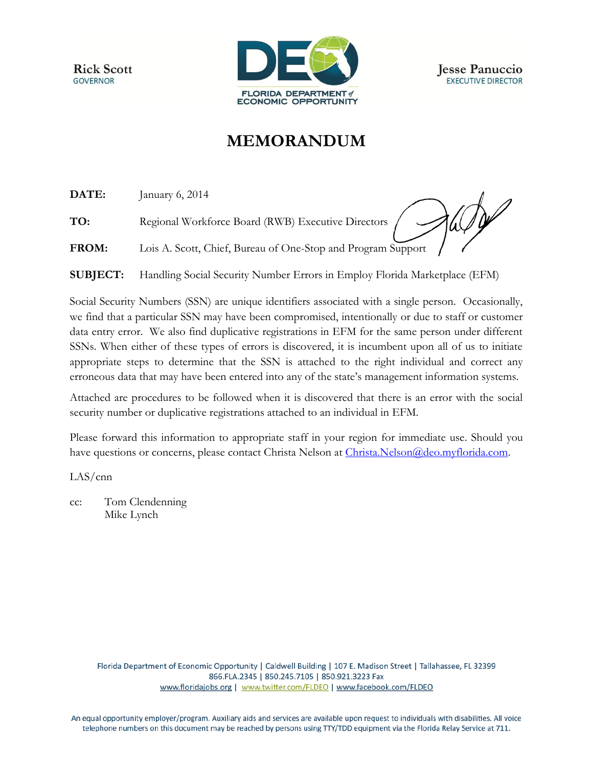**Rick Scott GOVERNOR** 



## **MEMORANDUM**

**DATE:** January 6, 2014

**TO:** Regional Workforce Board (RWB) Executive Directors

det

**FROM:** Lois A. Scott, Chief, Bureau of One-Stop and Program Support

**SUBJECT:** Handling Social Security Number Errors in Employ Florida Marketplace (EFM)

Social Security Numbers (SSN) are unique identifiers associated with a single person. Occasionally, we find that a particular SSN may have been compromised, intentionally or due to staff or customer data entry error. We also find duplicative registrations in EFM for the same person under different SSNs. When either of these types of errors is discovered, it is incumbent upon all of us to initiate appropriate steps to determine that the SSN is attached to the right individual and correct any erroneous data that may have been entered into any of the state's management information systems.

Attached are procedures to be followed when it is discovered that there is an error with the social security number or duplicative registrations attached to an individual in EFM.

Please forward this information to appropriate staff in your region for immediate use. Should you have questions or concerns, please contact Christa Nelson at [Christa.Nelson@deo.myflorida.com.](mailto:Christa.Nelson@deo.myflorida.com)

LAS/cnn

cc: Tom Clendenning Mike Lynch

> Florida Department of Economic Opportunity | Caldwell Building | 107 E. Madison Street | Tallahassee, FL 32399 866.FLA.2345 | 850.245.7105 | 850.921.3223 Fax www.floridajobs.org | www.twitter.com/FLDEO | www.facebook.com/FLDEO

An equal opportunity employer/program. Auxiliary aids and services are available upon request to individuals with disabilities. All voice telephone numbers on this document may be reached by persons using TTY/TDD equipment via the Florida Relay Service at 711.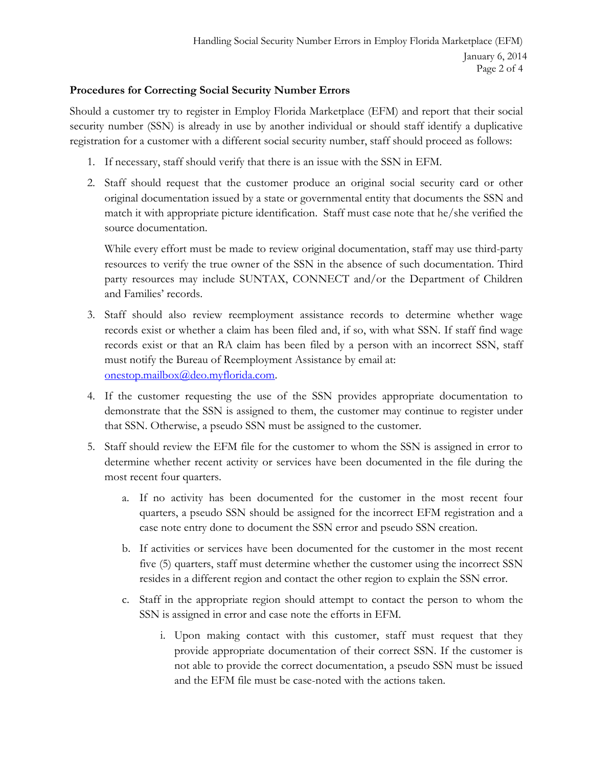## **Procedures for Correcting Social Security Number Errors**

Should a customer try to register in Employ Florida Marketplace (EFM) and report that their social security number (SSN) is already in use by another individual or should staff identify a duplicative registration for a customer with a different social security number, staff should proceed as follows:

- 1. If necessary, staff should verify that there is an issue with the SSN in EFM.
- 2. Staff should request that the customer produce an original social security card or other original documentation issued by a state or governmental entity that documents the SSN and match it with appropriate picture identification. Staff must case note that he/she verified the source documentation.

While every effort must be made to review original documentation, staff may use third-party resources to verify the true owner of the SSN in the absence of such documentation. Third party resources may include SUNTAX, CONNECT and/or the Department of Children and Families' records.

- 3. Staff should also review reemployment assistance records to determine whether wage records exist or whether a claim has been filed and, if so, with what SSN. If staff find wage records exist or that an RA claim has been filed by a person with an incorrect SSN, staff must notify the Bureau of Reemployment Assistance by email at: [onestop.mailbox@deo.myflorida.com.](mailto:onestop.mailbox@deo.myflorida.com)
- 4. If the customer requesting the use of the SSN provides appropriate documentation to demonstrate that the SSN is assigned to them, the customer may continue to register under that SSN. Otherwise, a pseudo SSN must be assigned to the customer.
- 5. Staff should review the EFM file for the customer to whom the SSN is assigned in error to determine whether recent activity or services have been documented in the file during the most recent four quarters.
	- a. If no activity has been documented for the customer in the most recent four quarters, a pseudo SSN should be assigned for the incorrect EFM registration and a case note entry done to document the SSN error and pseudo SSN creation.
	- b. If activities or services have been documented for the customer in the most recent five (5) quarters, staff must determine whether the customer using the incorrect SSN resides in a different region and contact the other region to explain the SSN error.
	- c. Staff in the appropriate region should attempt to contact the person to whom the SSN is assigned in error and case note the efforts in EFM.
		- i. Upon making contact with this customer, staff must request that they provide appropriate documentation of their correct SSN. If the customer is not able to provide the correct documentation, a pseudo SSN must be issued and the EFM file must be case-noted with the actions taken.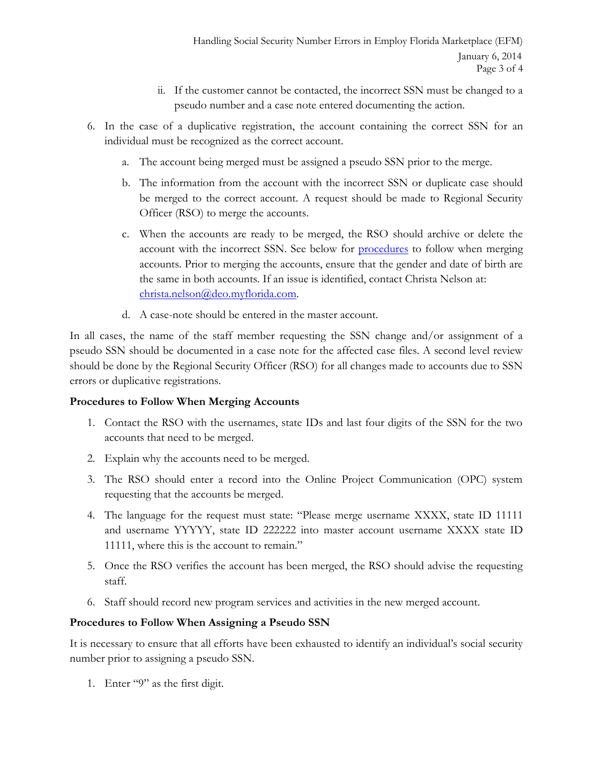- ii. If the customer cannot be contacted, the incorrect SSN must be changed to a pseudo number and a case note entered documenting the action.
- 6. In the case of a duplicative registration, the account containing the correct SSN for an individual must be recognized as the correct account.
	- a. The account being merged must be assigned a pseudo SSN prior to the merge.
	- b. The information from the account with the incorrect SSN or duplicate case should be merged to the correct account. A request should be made to Regional Security Officer (RSO) to merge the accounts.
	- c. When the accounts are ready to be merged, the RSO should archive or delete the account with the incorrect SSN. See below for [procedures](#page-2-0) to follow when merging accounts. Prior to merging the accounts, ensure that the gender and date of birth are the same in both accounts. If an issue is identified, contact Christa Nelson at: [christa.nelson@deo.myflorida.com.](mailto:christa.nelson@deo.myflorida.com)
	- d. A case-note should be entered in the master account.

In all cases, the name of the staff member requesting the SSN change and/or assignment of a pseudo SSN should be documented in a case note for the affected case files. A second level review should be done by the Regional Security Officer (RSO) for all changes made to accounts due to SSN errors or duplicative registrations.

## <span id="page-2-0"></span>**Procedures to Follow When Merging Accounts**

- 1. Contact the RSO with the usernames, state IDs and last four digits of the SSN for the two accounts that need to be merged.
- 2. Explain why the accounts need to be merged.
- 3. The RSO should enter a record into the Online Project Communication (OPC) system requesting that the accounts be merged.
- 4. The language for the request must state: "Please merge username XXXX, state ID 11111 and username YYYYY, state ID 222222 into master account username XXXX state ID 11111, where this is the account to remain."
- 5. Once the RSO verifies the account has been merged, the RSO should advise the requesting staff.
- 6. Staff should record new program services and activities in the new merged account.

## **Procedures to Follow When Assigning a Pseudo SSN**

It is necessary to ensure that all efforts have been exhausted to identify an individual's social security number prior to assigning a pseudo SSN.

1. Enter "9" as the first digit.